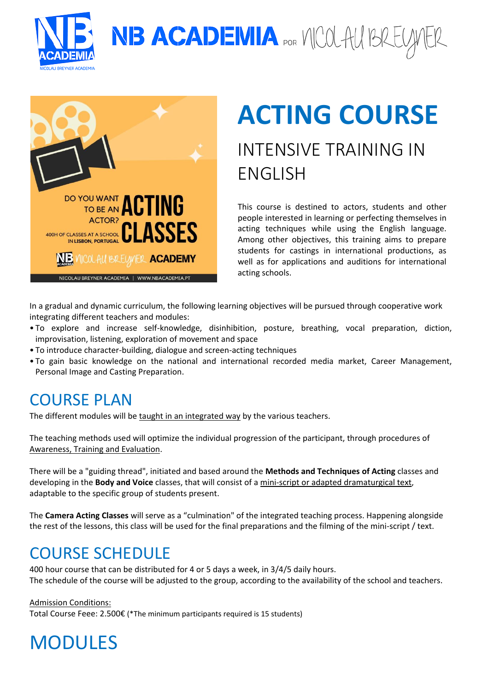

NB ACADEMIA POR VICOLAU BREU



# **ACTING COURSE**

## INTENSIVE TRAINING IN ENGLISH

This course is destined to actors, students and other people interested in learning or perfecting themselves in acting techniques while using the English language. Among other objectives, this training aims to prepare students for castings in international productions, as well as for applications and auditions for international acting schools.

In a gradual and dynamic curriculum, the following learning objectives will be pursued through cooperative work integrating different teachers and modules:

- To explore and increase self-knowledge, disinhibition, posture, breathing, vocal preparation, diction, improvisation, listening, exploration of movement and space
- To introduce character-building, dialogue and screen-acting techniques
- To gain basic knowledge on the national and international recorded media market, Career Management, Personal Image and Casting Preparation.

### COURSE PLAN

The different modules will be taught in an integrated way by the various teachers.

The teaching methods used will optimize the individual progression of the participant, through procedures of Awareness, Training and Evaluation.

There will be a "guiding thread", initiated and based around the **Methods and Techniques of Acting** classes and developing in the **Body and Voice** classes, that will consist of a mini-script or adapted dramaturgical text, adaptable to the specific group of students present.

The **Camera Acting Classes** will serve as a "culmination" of the integrated teaching process. Happening alongside the rest of the lessons, this class will be used for the final preparations and the filming of the mini-script / text.

### COURSE SCHEDULE

400 hour course that can be distributed for 4 or 5 days a week, in 3/4/5 daily hours. The schedule of the course will be adjusted to the group, according to the availability of the school and teachers.

Admission Conditions: Total Course Feee: 2.500€ (\*The minimum participants required is 15 students)

MODULES